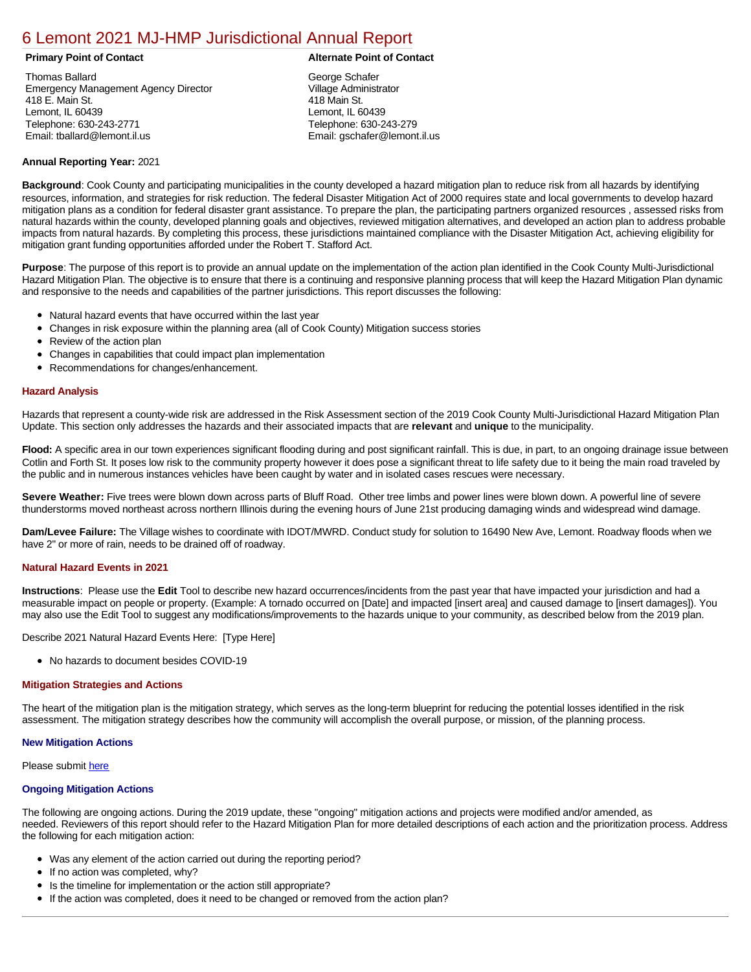# [6 Lemont 2021 MJ-HMP Jurisdictional Annual Report](https://lemont.isc-cemp.com/Cemp/Details?id=8322848)

Thomas Ballard Emergency Management Agency Director 418 E. Main St. Lemont, IL 60439 Telephone: 630-243-2771 Email: tballard@lemont.il.us

# **Primary Point of Contact Alternate Point of Contact**

George Schafer Village Administrator 418 Main St. Lemont, IL 60439 Telephone: 630-243-279 Email: gschafer@lemont.il.us

# **Annual Reporting Year:** 2021

**Background**: Cook County and participating municipalities in the county developed a hazard mitigation plan to reduce risk from all hazards by identifying resources, information, and strategies for risk reduction. The federal Disaster Mitigation Act of 2000 requires state and local governments to develop hazard mitigation plans as a condition for federal disaster grant assistance. To prepare the plan, the participating partners organized resources , assessed risks from natural hazards within the county, developed planning goals and objectives, reviewed mitigation alternatives, and developed an action plan to address probable impacts from natural hazards. By completing this process, these jurisdictions maintained compliance with the Disaster Mitigation Act, achieving eligibility for mitigation grant funding opportunities afforded under the Robert T. Stafford Act.

**Purpose**: The purpose of this report is to provide an annual update on the implementation of the action plan identified in the Cook County Multi-Jurisdictional Hazard Mitigation Plan. The objective is to ensure that there is a continuing and responsive planning process that will keep the Hazard Mitigation Plan dynamic and responsive to the needs and capabilities of the partner jurisdictions. This report discusses the following:

- Natural hazard events that have occurred within the last year
- $\bullet$ Changes in risk exposure within the planning area (all of Cook County) Mitigation success stories
- $\bullet$ Review of the action plan
- Changes in capabilities that could impact plan implementation
- Recommendations for changes/enhancement.

# **Hazard Analysis**

Hazards that represent a county-wide risk are addressed in the Risk Assessment section of the 2019 Cook County Multi-Jurisdictional Hazard Mitigation Plan Update. This section only addresses the hazards and their associated impacts that are **relevant** and **unique** to the municipality.

**Flood:** A specific area in our town experiences significant flooding during and post significant rainfall. This is due, in part, to an ongoing drainage issue between Cotlin and Forth St. It poses low risk to the community property however it does pose a significant threat to life safety due to it being the main road traveled by the public and in numerous instances vehicles have been caught by water and in isolated cases rescues were necessary.

**Severe Weather:** Five trees were blown down across parts of Bluff Road. Other tree limbs and power lines were blown down. A powerful line of severe thunderstorms moved northeast across northern Illinois during the evening hours of June 21st producing damaging winds and widespread wind damage.

**Dam/Levee Failure:** The Village wishes to coordinate with IDOT/MWRD. Conduct study for solution to 16490 New Ave, Lemont. Roadway floods when we have 2" or more of rain, needs to be drained off of roadway.

## **Natural Hazard Events in 2021**

**Instructions**: Please use the **Edit** Tool to describe new hazard occurrences/incidents from the past year that have impacted your jurisdiction and had a measurable impact on people or property. (Example: A tornado occurred on [Date] and impacted [insert area] and caused damage to [insert damages]). You may also use the Edit Tool to suggest any modifications/improvements to the hazards unique to your community, as described below from the 2019 plan.

Describe 2021 Natural Hazard Events Here: [Type Here]

No hazards to document besides COVID-19

## **Mitigation Strategies and Actions**

The heart of the mitigation plan is the mitigation strategy, which serves as the long-term blueprint for reducing the potential losses identified in the risk assessment. The mitigation strategy describes how the community will accomplish the overall purpose, or mission, of the planning process.

## **New Mitigation Actions**

Please submit [here](https://integratedsolutions.wufoo.com/forms/mg21jvf0jn639o/)

## **Ongoing Mitigation Actions**

The following are ongoing actions. During the 2019 update, these "ongoing" mitigation actions and projects were modified and/or amended, as needed. Reviewers of this report should refer to the Hazard Mitigation Plan for more detailed descriptions of each action and the prioritization process. Address the following for each mitigation action:

- Was any element of the action carried out during the reporting period?
- If no action was completed, why?
- Is the timeline for implementation or the action still appropriate?
- If the action was completed, does it need to be changed or removed from the action plan?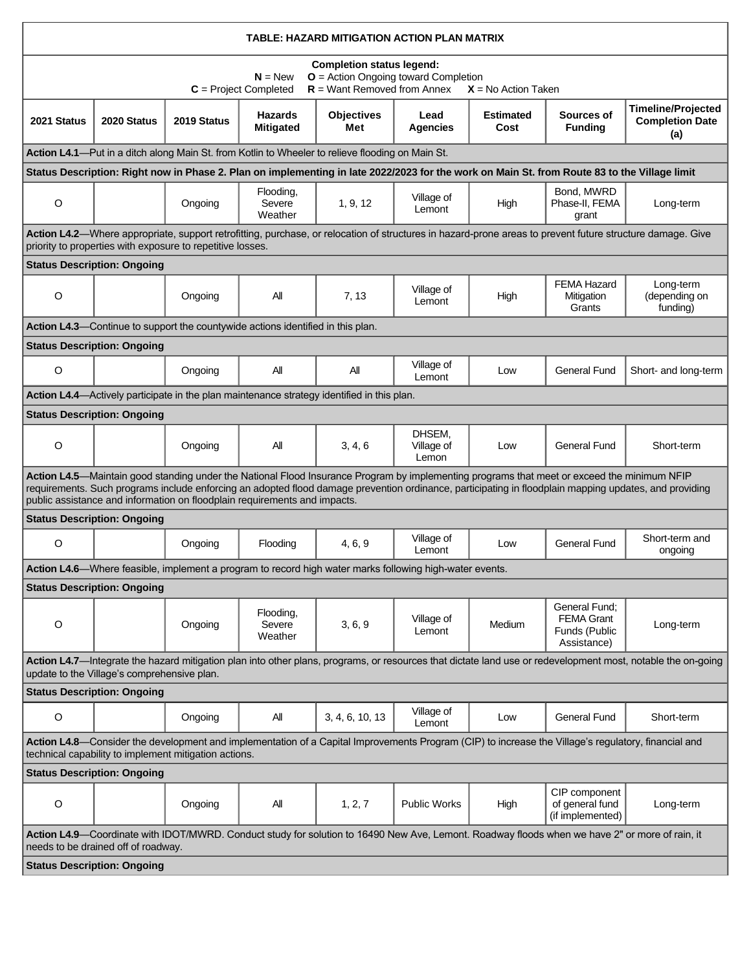|             |                                             |                                                            |                                                                                 | TABLE: HAZARD MITIGATION ACTION PLAN MATRIX                                                                 |                               |                          |                                                                                                                                                     |                                                                                                                                                             |
|-------------|---------------------------------------------|------------------------------------------------------------|---------------------------------------------------------------------------------|-------------------------------------------------------------------------------------------------------------|-------------------------------|--------------------------|-----------------------------------------------------------------------------------------------------------------------------------------------------|-------------------------------------------------------------------------------------------------------------------------------------------------------------|
|             |                                             |                                                            | $N = New$<br>$C = Project Completed$                                            | <b>Completion status legend:</b><br>$O =$ Action Ongoing toward Completion<br>$R =$ Want Removed from Annex |                               | $X = No$ Action Taken    |                                                                                                                                                     |                                                                                                                                                             |
| 2021 Status | 2020 Status                                 | 2019 Status                                                | <b>Hazards</b><br><b>Mitigated</b>                                              | <b>Objectives</b><br>Met                                                                                    | Lead<br>Agencies              | <b>Estimated</b><br>Cost | Sources of<br><b>Funding</b>                                                                                                                        | <b>Timeline/Projected</b><br><b>Completion Date</b><br>(a)                                                                                                  |
|             |                                             |                                                            |                                                                                 | Action L4.1—Put in a ditch along Main St. from Kotlin to Wheeler to relieve flooding on Main St.            |                               |                          |                                                                                                                                                     |                                                                                                                                                             |
|             |                                             |                                                            |                                                                                 |                                                                                                             |                               |                          | Status Description: Right now in Phase 2. Plan on implementing in late 2022/2023 for the work on Main St. from Route 83 to the Village limit        |                                                                                                                                                             |
| $\circ$     |                                             | Ongoing                                                    | Flooding,<br>Severe<br>Weather                                                  | 1, 9, 12                                                                                                    | Village of<br>Lemont          | High                     | Bond. MWRD<br>Phase-II, FEMA<br>grant                                                                                                               | Long-term                                                                                                                                                   |
|             |                                             | priority to properties with exposure to repetitive losses. |                                                                                 |                                                                                                             |                               |                          |                                                                                                                                                     | Action L4.2—Where appropriate, support retrofitting, purchase, or relocation of structures in hazard-prone areas to prevent future structure damage. Give   |
|             | <b>Status Description: Ongoing</b>          |                                                            |                                                                                 |                                                                                                             |                               |                          |                                                                                                                                                     |                                                                                                                                                             |
| O           |                                             | Ongoing                                                    | All                                                                             | 7, 13                                                                                                       | Village of<br>Lemont          | High                     | <b>FEMA Hazard</b><br>Mitigation<br>Grants                                                                                                          | Long-term<br>(depending on<br>funding)                                                                                                                      |
|             |                                             |                                                            | Action L4.3—Continue to support the countywide actions identified in this plan. |                                                                                                             |                               |                          |                                                                                                                                                     |                                                                                                                                                             |
|             | <b>Status Description: Ongoing</b>          |                                                            |                                                                                 |                                                                                                             |                               |                          |                                                                                                                                                     |                                                                                                                                                             |
| O           |                                             | Ongoing                                                    | All                                                                             | aii                                                                                                         | Village of<br>Lemont          | Low                      | <b>General Fund</b>                                                                                                                                 | Short- and long-term                                                                                                                                        |
|             |                                             |                                                            |                                                                                 | Action L4.4—Actively participate in the plan maintenance strategy identified in this plan.                  |                               |                          |                                                                                                                                                     |                                                                                                                                                             |
|             | <b>Status Description: Ongoing</b>          |                                                            |                                                                                 |                                                                                                             |                               |                          |                                                                                                                                                     |                                                                                                                                                             |
| $\circ$     |                                             | Ongoing                                                    | All                                                                             | 3, 4, 6                                                                                                     | DHSEM,<br>Village of<br>Lemon | Low                      | <b>General Fund</b>                                                                                                                                 | Short-term                                                                                                                                                  |
|             |                                             |                                                            | public assistance and information on floodplain requirements and impacts.       |                                                                                                             |                               |                          | Action L4.5—Maintain good standing under the National Flood Insurance Program by implementing programs that meet or exceed the minimum NFIP         | requirements. Such programs include enforcing an adopted flood damage prevention ordinance, participating in floodplain mapping updates, and providing      |
|             | <b>Status Description: Ongoing</b>          |                                                            |                                                                                 |                                                                                                             |                               |                          |                                                                                                                                                     |                                                                                                                                                             |
| $\circ$     |                                             | Ongoing                                                    | Flooding                                                                        | 4, 6, 9                                                                                                     | Village of<br>Lemont          | Low                      | <b>General Fund</b>                                                                                                                                 | Short-term and<br>ongoing                                                                                                                                   |
|             |                                             |                                                            |                                                                                 | Action L4.6—Where feasible, implement a program to record high water marks following high-water events.     |                               |                          |                                                                                                                                                     |                                                                                                                                                             |
|             | <b>Status Description: Ongoing</b>          |                                                            |                                                                                 |                                                                                                             |                               |                          |                                                                                                                                                     |                                                                                                                                                             |
| O           |                                             | Ongoing                                                    | Flooding,<br>Severe<br>Weather                                                  | 3, 6, 9                                                                                                     | Village of<br>Lemont          | Medium                   | General Fund:<br><b>FEMA Grant</b><br>Funds (Public<br>Assistance)                                                                                  | Long-term                                                                                                                                                   |
|             | update to the Village's comprehensive plan. |                                                            |                                                                                 |                                                                                                             |                               |                          |                                                                                                                                                     | Action L4.7—Integrate the hazard mitigation plan into other plans, programs, or resources that dictate land use or redevelopment most, notable the on-going |
|             | <b>Status Description: Ongoing</b>          |                                                            |                                                                                 |                                                                                                             |                               |                          |                                                                                                                                                     |                                                                                                                                                             |
| $\circ$     |                                             | Ongoing                                                    | All                                                                             | 3, 4, 6, 10, 13                                                                                             | Village of<br>Lemont          | Low                      | <b>General Fund</b>                                                                                                                                 | Short-term                                                                                                                                                  |
|             |                                             | technical capability to implement mitigation actions.      |                                                                                 |                                                                                                             |                               |                          | Action L4.8-Consider the development and implementation of a Capital Improvements Program (CIP) to increase the Village's regulatory, financial and |                                                                                                                                                             |
|             | <b>Status Description: Ongoing</b>          |                                                            |                                                                                 |                                                                                                             |                               |                          |                                                                                                                                                     |                                                                                                                                                             |
| O           |                                             | Ongoing                                                    | All                                                                             | 1, 2, 7                                                                                                     | <b>Public Works</b>           | High                     | CIP component<br>of general fund<br>(if implemented)                                                                                                | Long-term                                                                                                                                                   |
|             | needs to be drained off of roadway.         |                                                            |                                                                                 |                                                                                                             |                               |                          | Action L4.9—Coordinate with IDOT/MWRD. Conduct study for solution to 16490 New Ave, Lemont. Roadway floods when we have 2" or more of rain, it      |                                                                                                                                                             |
|             | <b>Status Description: Ongoing</b>          |                                                            |                                                                                 |                                                                                                             |                               |                          |                                                                                                                                                     |                                                                                                                                                             |